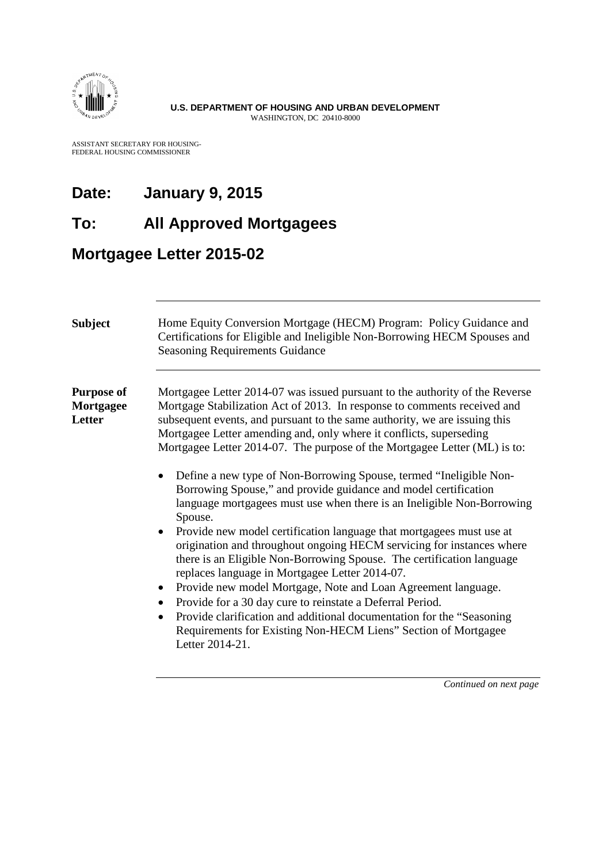

ASSISTANT SECRETARY FOR HOUSING-FEDERAL HOUSING COMMISSIONER

## **Date: January 9, 2015**

### **To: All Approved Mortgagees**

### **Mortgagee Letter 2015-02**

| <b>Subject</b>                           | Home Equity Conversion Mortgage (HECM) Program: Policy Guidance and<br>Certifications for Eligible and Ineligible Non-Borrowing HECM Spouses and<br><b>Seasoning Requirements Guidance</b>                                                                                                                                                                                                                                                                                                                                                                                                                                                                                                                                                                                                                                                                                                                                                                                                                                                                                                                                                                                                                                                                |
|------------------------------------------|-----------------------------------------------------------------------------------------------------------------------------------------------------------------------------------------------------------------------------------------------------------------------------------------------------------------------------------------------------------------------------------------------------------------------------------------------------------------------------------------------------------------------------------------------------------------------------------------------------------------------------------------------------------------------------------------------------------------------------------------------------------------------------------------------------------------------------------------------------------------------------------------------------------------------------------------------------------------------------------------------------------------------------------------------------------------------------------------------------------------------------------------------------------------------------------------------------------------------------------------------------------|
| <b>Purpose of</b><br>Mortgagee<br>Letter | Mortgagee Letter 2014-07 was issued pursuant to the authority of the Reverse<br>Mortgage Stabilization Act of 2013. In response to comments received and<br>subsequent events, and pursuant to the same authority, we are issuing this<br>Mortgagee Letter amending and, only where it conflicts, superseding<br>Mortgagee Letter 2014-07. The purpose of the Mortgagee Letter (ML) is to:<br>Define a new type of Non-Borrowing Spouse, termed "Ineligible Non-<br>$\bullet$<br>Borrowing Spouse," and provide guidance and model certification<br>language mortgagees must use when there is an Ineligible Non-Borrowing<br>Spouse.<br>Provide new model certification language that mortgagees must use at<br>$\bullet$<br>origination and throughout ongoing HECM servicing for instances where<br>there is an Eligible Non-Borrowing Spouse. The certification language<br>replaces language in Mortgagee Letter 2014-07.<br>Provide new model Mortgage, Note and Loan Agreement language.<br>٠<br>Provide for a 30 day cure to reinstate a Deferral Period.<br>$\bullet$<br>Provide clarification and additional documentation for the "Seasoning<br>$\bullet$<br>Requirements for Existing Non-HECM Liens" Section of Mortgagee<br>Letter 2014-21. |
|                                          |                                                                                                                                                                                                                                                                                                                                                                                                                                                                                                                                                                                                                                                                                                                                                                                                                                                                                                                                                                                                                                                                                                                                                                                                                                                           |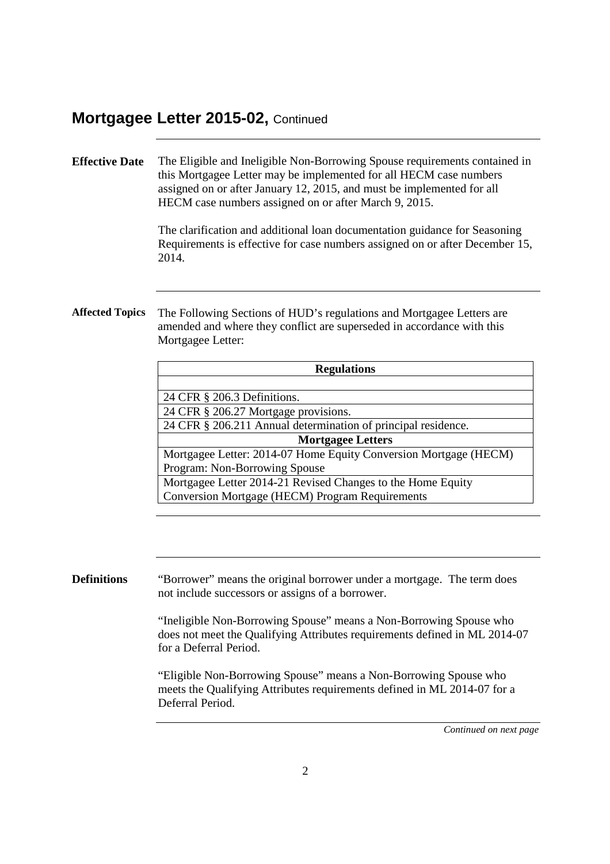## **Effective Date** The Eligible and Ineligible Non-Borrowing Spouse requirements contained in this Mortgagee Letter may be implemented for all HECM case numbers assigned on or after January 12, 2015, and must be implemented for all HECM case numbers assigned on or after March 9, 2015. The clarification and additional loan documentation guidance for Seasoning Requirements is effective for case numbers assigned on or after December 15, 2014. **Affected Topics** The Following Sections of HUD's regulations and Mortgagee Letters are amended and where they conflict are superseded in accordance with this Mortgagee Letter: **Regulations** 24 CFR § 206.3 Definitions. 24 CFR § 206.27 Mortgage provisions. 24 CFR § 206.211 Annual determination of principal residence. **Mortgagee Letters** Mortgagee Letter: 2014-07 Home Equity Conversion Mortgage (HECM) Program: Non-Borrowing Spouse Mortgagee Letter 2014-21 Revised Changes to the Home Equity Conversion Mortgage (HECM) Program Requirements **Definitions** "Borrower" means the original borrower under a mortgage. The term does not include successors or assigns of a borrower. "Ineligible Non-Borrowing Spouse" means a Non-Borrowing Spouse who does not meet the Qualifying Attributes requirements defined in ML 2014-07 for a Deferral Period.

"Eligible Non-Borrowing Spouse" means a Non-Borrowing Spouse who meets the Qualifying Attributes requirements defined in ML 2014-07 for a Deferral Period.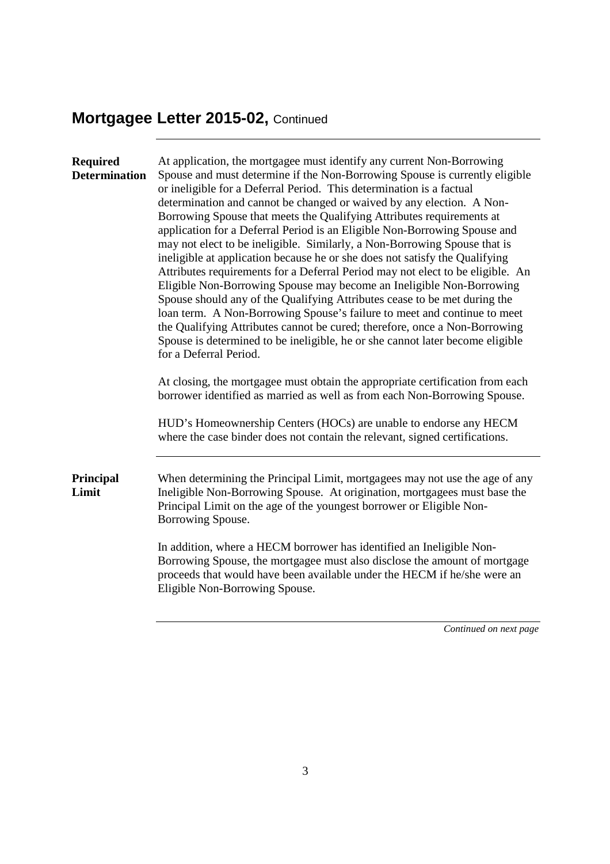| <b>Required</b><br><b>Determination</b> | At application, the mortgagee must identify any current Non-Borrowing<br>Spouse and must determine if the Non-Borrowing Spouse is currently eligible<br>or ineligible for a Deferral Period. This determination is a factual<br>determination and cannot be changed or waived by any election. A Non-<br>Borrowing Spouse that meets the Qualifying Attributes requirements at<br>application for a Deferral Period is an Eligible Non-Borrowing Spouse and<br>may not elect to be ineligible. Similarly, a Non-Borrowing Spouse that is<br>ineligible at application because he or she does not satisfy the Qualifying<br>Attributes requirements for a Deferral Period may not elect to be eligible. An<br>Eligible Non-Borrowing Spouse may become an Ineligible Non-Borrowing<br>Spouse should any of the Qualifying Attributes cease to be met during the<br>loan term. A Non-Borrowing Spouse's failure to meet and continue to meet<br>the Qualifying Attributes cannot be cured; therefore, once a Non-Borrowing<br>Spouse is determined to be ineligible, he or she cannot later become eligible<br>for a Deferral Period.<br>At closing, the mortgagee must obtain the appropriate certification from each<br>borrower identified as married as well as from each Non-Borrowing Spouse. |
|-----------------------------------------|---------------------------------------------------------------------------------------------------------------------------------------------------------------------------------------------------------------------------------------------------------------------------------------------------------------------------------------------------------------------------------------------------------------------------------------------------------------------------------------------------------------------------------------------------------------------------------------------------------------------------------------------------------------------------------------------------------------------------------------------------------------------------------------------------------------------------------------------------------------------------------------------------------------------------------------------------------------------------------------------------------------------------------------------------------------------------------------------------------------------------------------------------------------------------------------------------------------------------------------------------------------------------------------------------|
|                                         | HUD's Homeownership Centers (HOCs) are unable to endorse any HECM<br>where the case binder does not contain the relevant, signed certifications.                                                                                                                                                                                                                                                                                                                                                                                                                                                                                                                                                                                                                                                                                                                                                                                                                                                                                                                                                                                                                                                                                                                                                  |
| Principal<br>Limit                      | When determining the Principal Limit, mortgagees may not use the age of any<br>Ineligible Non-Borrowing Spouse. At origination, mortgagees must base the<br>Principal Limit on the age of the youngest borrower or Eligible Non-<br>Borrowing Spouse.                                                                                                                                                                                                                                                                                                                                                                                                                                                                                                                                                                                                                                                                                                                                                                                                                                                                                                                                                                                                                                             |
|                                         | In addition, where a HECM borrower has identified an Ineligible Non-<br>Borrowing Spouse, the mortgagee must also disclose the amount of mortgage<br>proceeds that would have been available under the HECM if he/she were an<br>Eligible Non-Borrowing Spouse.                                                                                                                                                                                                                                                                                                                                                                                                                                                                                                                                                                                                                                                                                                                                                                                                                                                                                                                                                                                                                                   |
|                                         | Continued on next page                                                                                                                                                                                                                                                                                                                                                                                                                                                                                                                                                                                                                                                                                                                                                                                                                                                                                                                                                                                                                                                                                                                                                                                                                                                                            |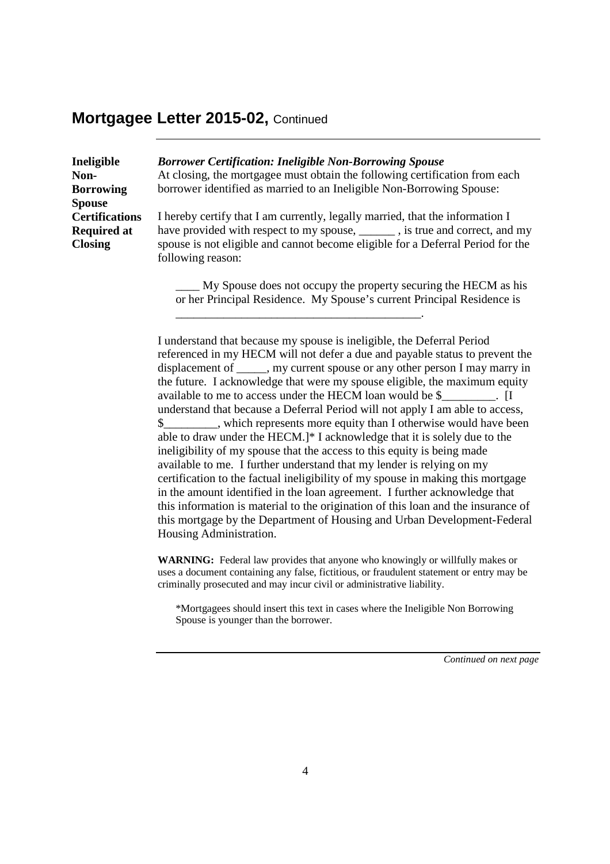| Ineligible            | <b>Borrower Certification: Ineligible Non-Borrowing Spouse</b>                                                                            |
|-----------------------|-------------------------------------------------------------------------------------------------------------------------------------------|
| Non-                  | At closing, the mortgagee must obtain the following certification from each                                                               |
| <b>Borrowing</b>      | borrower identified as married to an Ineligible Non-Borrowing Spouse:                                                                     |
| <b>Spouse</b>         |                                                                                                                                           |
| <b>Certifications</b> | I hereby certify that I am currently, legally married, that the information I                                                             |
| <b>Required at</b>    | have provided with respect to my spouse, _______, is true and correct, and my                                                             |
| <b>Closing</b>        | spouse is not eligible and cannot become eligible for a Deferral Period for the<br>following reason:                                      |
|                       | My Spouse does not occupy the property securing the HECM as his<br>or her Principal Residence. My Spouse's current Principal Residence is |

\_\_\_\_\_\_\_\_\_\_\_\_\_\_\_\_\_\_\_\_\_\_\_\_\_\_\_\_\_\_\_\_\_\_\_\_\_\_\_\_\_.

I understand that because my spouse is ineligible, the Deferral Period referenced in my HECM will not defer a due and payable status to prevent the displacement of \_\_\_\_\_, my current spouse or any other person I may marry in the future. I acknowledge that were my spouse eligible, the maximum equity available to me to access under the HECM loan would be \$. understand that because a Deferral Period will not apply I am able to access, \$\_\_\_\_\_\_\_\_\_, which represents more equity than I otherwise would have been able to draw under the HECM.]\* I acknowledge that it is solely due to the ineligibility of my spouse that the access to this equity is being made available to me. I further understand that my lender is relying on my certification to the factual ineligibility of my spouse in making this mortgage in the amount identified in the loan agreement. I further acknowledge that this information is material to the origination of this loan and the insurance of this mortgage by the Department of Housing and Urban Development-Federal Housing Administration.

**WARNING:** Federal law provides that anyone who knowingly or willfully makes or uses a document containing any false, fictitious, or fraudulent statement or entry may be criminally prosecuted and may incur civil or administrative liability.

\*Mortgagees should insert this text in cases where the Ineligible Non Borrowing Spouse is younger than the borrower.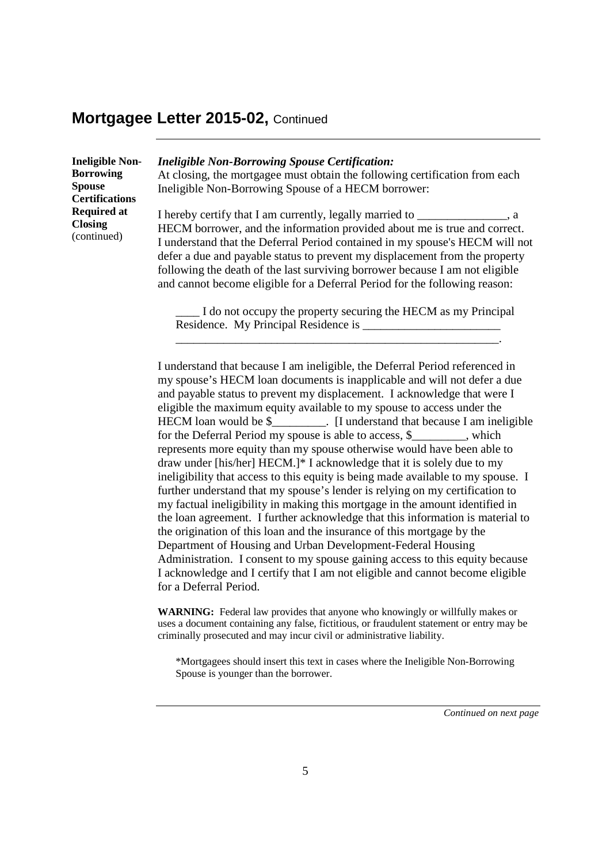| <b>Ineligible Non-</b><br><b>Borrowing</b><br><b>Spouse</b><br><b>Certifications</b> | <b>Ineligible Non-Borrowing Spouse Certification:</b><br>At closing, the mortgagee must obtain the following certification from each<br>Ineligible Non-Borrowing Spouse of a HECM borrower:                                                                                                                                                                                                                                                                               |
|--------------------------------------------------------------------------------------|---------------------------------------------------------------------------------------------------------------------------------------------------------------------------------------------------------------------------------------------------------------------------------------------------------------------------------------------------------------------------------------------------------------------------------------------------------------------------|
| <b>Required at</b><br><b>Closing</b><br>(continued)                                  | I hereby certify that I am currently, legally married to<br>. а<br>HECM borrower, and the information provided about me is true and correct.<br>I understand that the Deferral Period contained in my spouse's HECM will not<br>defer a due and payable status to prevent my displacement from the property<br>following the death of the last surviving borrower because I am not eligible<br>and cannot become eligible for a Deferral Period for the following reason: |

\_\_\_\_ I do not occupy the property securing the HECM as my Principal Residence. My Principal Residence is

\_\_\_\_\_\_\_\_\_\_\_\_\_\_\_\_\_\_\_\_\_\_\_\_\_\_\_\_\_\_\_\_\_\_\_\_\_\_\_\_\_\_\_\_\_\_\_\_\_\_\_\_\_\_.

I understand that because I am ineligible, the Deferral Period referenced in my spouse's HECM loan documents is inapplicable and will not defer a due and payable status to prevent my displacement. I acknowledge that were I eligible the maximum equity available to my spouse to access under the HECM loan would be \$\_\_\_\_\_\_\_\_. [I understand that because I am ineligible for the Deferral Period my spouse is able to access, \$\_\_\_\_\_\_\_\_\_, which represents more equity than my spouse otherwise would have been able to draw under [his/her] HECM.]\* I acknowledge that it is solely due to my ineligibility that access to this equity is being made available to my spouse. I further understand that my spouse's lender is relying on my certification to my factual ineligibility in making this mortgage in the amount identified in the loan agreement. I further acknowledge that this information is material to the origination of this loan and the insurance of this mortgage by the Department of Housing and Urban Development-Federal Housing Administration. I consent to my spouse gaining access to this equity because I acknowledge and I certify that I am not eligible and cannot become eligible for a Deferral Period.

**WARNING:** Federal law provides that anyone who knowingly or willfully makes or uses a document containing any false, fictitious, or fraudulent statement or entry may be criminally prosecuted and may incur civil or administrative liability.

\*Mortgagees should insert this text in cases where the Ineligible Non-Borrowing Spouse is younger than the borrower.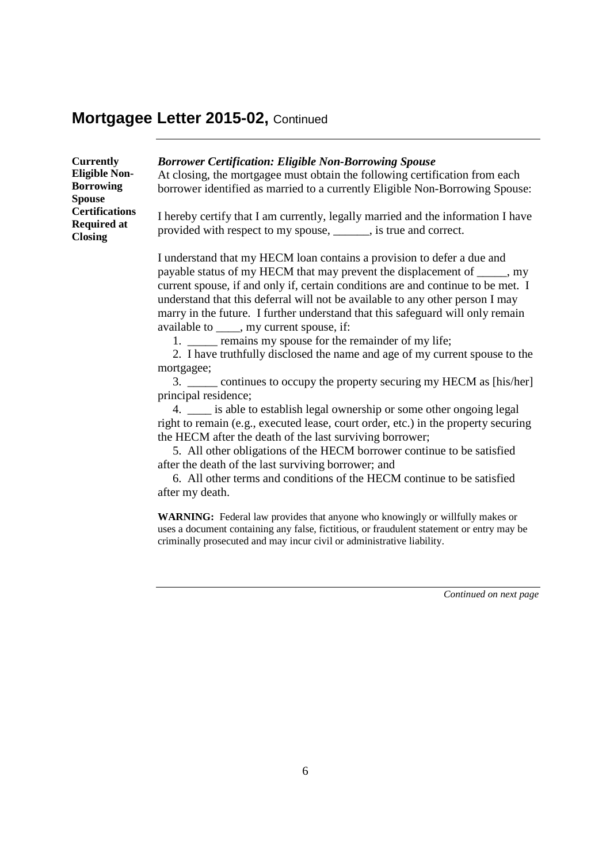| <b>Currently</b><br><b>Eligible Non-</b><br><b>Borrowing</b><br><b>Spouse</b> | <b>Borrower Certification: Eligible Non-Borrowing Spouse</b><br>At closing, the mortgagee must obtain the following certification from each<br>borrower identified as married to a currently Eligible Non-Borrowing Spouse: |
|-------------------------------------------------------------------------------|-----------------------------------------------------------------------------------------------------------------------------------------------------------------------------------------------------------------------------|
| <b>Certifications</b><br><b>Required at</b><br><b>Closing</b>                 | I hereby certify that I am currently, legally married and the information I have<br>provided with respect to my spouse, _______, is true and correct.                                                                       |
|                                                                               | I understand that my HECM loan contains a provision to defer a due and                                                                                                                                                      |

payable status of my HECM that may prevent the displacement of \_\_\_\_\_, my current spouse, if and only if, certain conditions are and continue to be met. I understand that this deferral will not be available to any other person I may marry in the future. I further understand that this safeguard will only remain available to \_\_\_\_, my current spouse, if:

1. \_\_\_\_\_\_ remains my spouse for the remainder of my life;

2. I have truthfully disclosed the name and age of my current spouse to the mortgagee;

3. continues to occupy the property securing my HECM as [his/her] principal residence;

4. \_\_\_\_ is able to establish legal ownership or some other ongoing legal right to remain (e.g., executed lease, court order, etc.) in the property securing the HECM after the death of the last surviving borrower;

5. All other obligations of the HECM borrower continue to be satisfied after the death of the last surviving borrower; and

6. All other terms and conditions of the HECM continue to be satisfied after my death.

**WARNING:** Federal law provides that anyone who knowingly or willfully makes or uses a document containing any false, fictitious, or fraudulent statement or entry may be criminally prosecuted and may incur civil or administrative liability.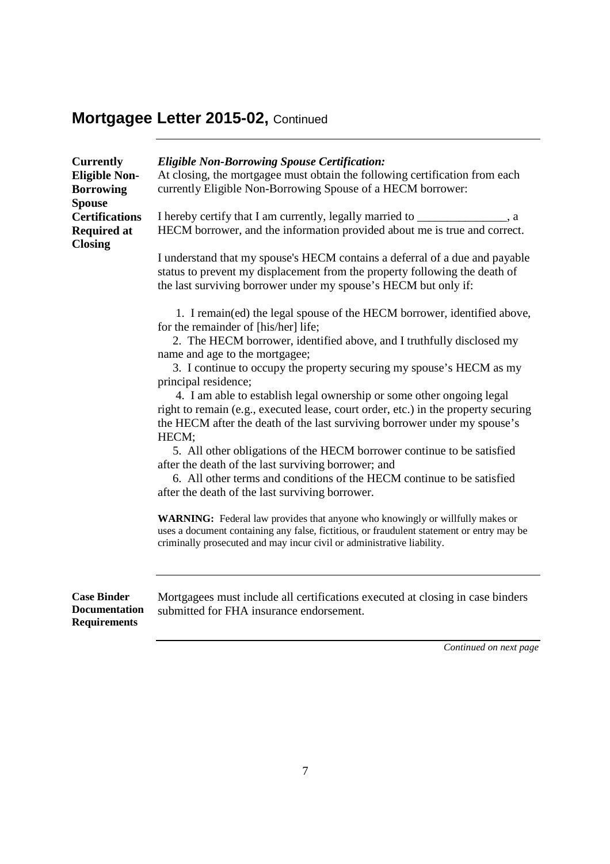| <b>Currently</b><br><b>Eligible Non-</b><br><b>Borrowing</b><br><b>Spouse</b><br><b>Certifications</b><br><b>Required at</b><br><b>Closing</b> | <b>Eligible Non-Borrowing Spouse Certification:</b><br>At closing, the mortgagee must obtain the following certification from each<br>currently Eligible Non-Borrowing Spouse of a HECM borrower:<br>I hereby certify that I am currently, legally married to ______________, a<br>HECM borrower, and the information provided about me is true and correct.<br>I understand that my spouse's HECM contains a deferral of a due and payable<br>status to prevent my displacement from the property following the death of<br>the last surviving borrower under my spouse's HECM but only if:<br>1. I remain(ed) the legal spouse of the HECM borrower, identified above,<br>for the remainder of [his/her] life;<br>2. The HECM borrower, identified above, and I truthfully disclosed my<br>name and age to the mortgagee;<br>3. I continue to occupy the property securing my spouse's HECM as my<br>principal residence;<br>4. I am able to establish legal ownership or some other ongoing legal<br>right to remain (e.g., executed lease, court order, etc.) in the property securing<br>the HECM after the death of the last surviving borrower under my spouse's<br>HECM;<br>5. All other obligations of the HECM borrower continue to be satisfied<br>after the death of the last surviving borrower; and<br>6. All other terms and conditions of the HECM continue to be satisfied<br>after the death of the last surviving borrower.<br>WARNING: Federal law provides that anyone who knowingly or willfully makes or<br>uses a document containing any false, fictitious, or fraudulent statement or entry may be<br>criminally prosecuted and may incur civil or administrative liability. |
|------------------------------------------------------------------------------------------------------------------------------------------------|--------------------------------------------------------------------------------------------------------------------------------------------------------------------------------------------------------------------------------------------------------------------------------------------------------------------------------------------------------------------------------------------------------------------------------------------------------------------------------------------------------------------------------------------------------------------------------------------------------------------------------------------------------------------------------------------------------------------------------------------------------------------------------------------------------------------------------------------------------------------------------------------------------------------------------------------------------------------------------------------------------------------------------------------------------------------------------------------------------------------------------------------------------------------------------------------------------------------------------------------------------------------------------------------------------------------------------------------------------------------------------------------------------------------------------------------------------------------------------------------------------------------------------------------------------------------------------------------------------------------------------------------------------------------------------------------------------|
| <b>Case Binder</b><br><b>Documentation</b><br><b>Requirements</b>                                                                              | Mortgagees must include all certifications executed at closing in case binders<br>submitted for FHA insurance endorsement.                                                                                                                                                                                                                                                                                                                                                                                                                                                                                                                                                                                                                                                                                                                                                                                                                                                                                                                                                                                                                                                                                                                                                                                                                                                                                                                                                                                                                                                                                                                                                                             |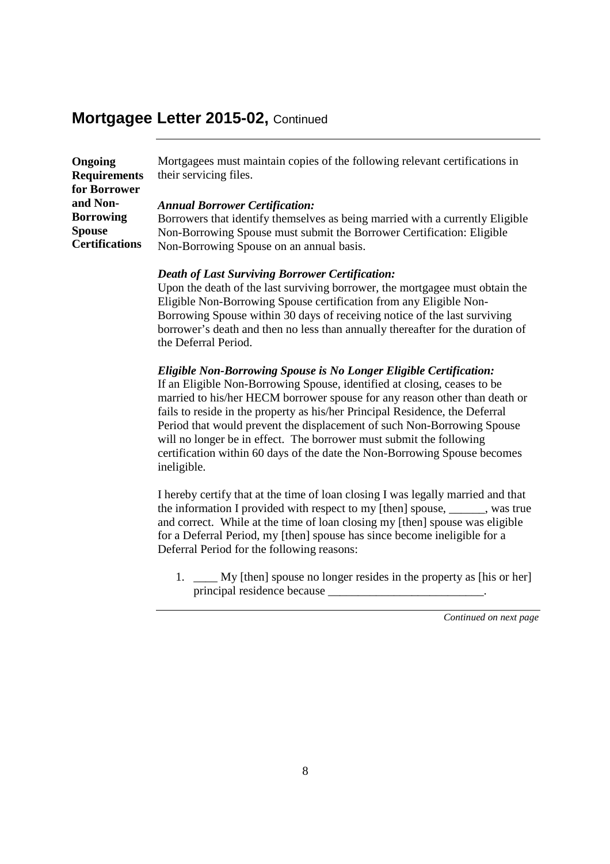| <b>Ongoing</b>        | Mortgagees must maintain copies of the following relevant certifications in   |
|-----------------------|-------------------------------------------------------------------------------|
| <b>Requirements</b>   | their servicing files.                                                        |
| for Borrower          |                                                                               |
| and Non-              | <b>Annual Borrower Certification:</b>                                         |
| <b>Borrowing</b>      | Borrowers that identify themselves as being married with a currently Eligible |
| <b>Spouse</b>         | Non-Borrowing Spouse must submit the Borrower Certification: Eligible         |
| <b>Certifications</b> | Non-Borrowing Spouse on an annual basis.                                      |

#### *Death of Last Surviving Borrower Certification:*

Upon the death of the last surviving borrower, the mortgagee must obtain the Eligible Non-Borrowing Spouse certification from any Eligible Non-Borrowing Spouse within 30 days of receiving notice of the last surviving borrower's death and then no less than annually thereafter for the duration of the Deferral Period.

#### *Eligible Non-Borrowing Spouse is No Longer Eligible Certification:*

If an Eligible Non-Borrowing Spouse, identified at closing, ceases to be married to his/her HECM borrower spouse for any reason other than death or fails to reside in the property as his/her Principal Residence, the Deferral Period that would prevent the displacement of such Non-Borrowing Spouse will no longer be in effect. The borrower must submit the following certification within 60 days of the date the Non-Borrowing Spouse becomes ineligible.

I hereby certify that at the time of loan closing I was legally married and that the information I provided with respect to my [then] spouse, \_\_\_\_\_\_, was true and correct. While at the time of loan closing my [then] spouse was eligible for a Deferral Period, my [then] spouse has since become ineligible for a Deferral Period for the following reasons:

1. My [then] spouse no longer resides in the property as [his or her] principal residence because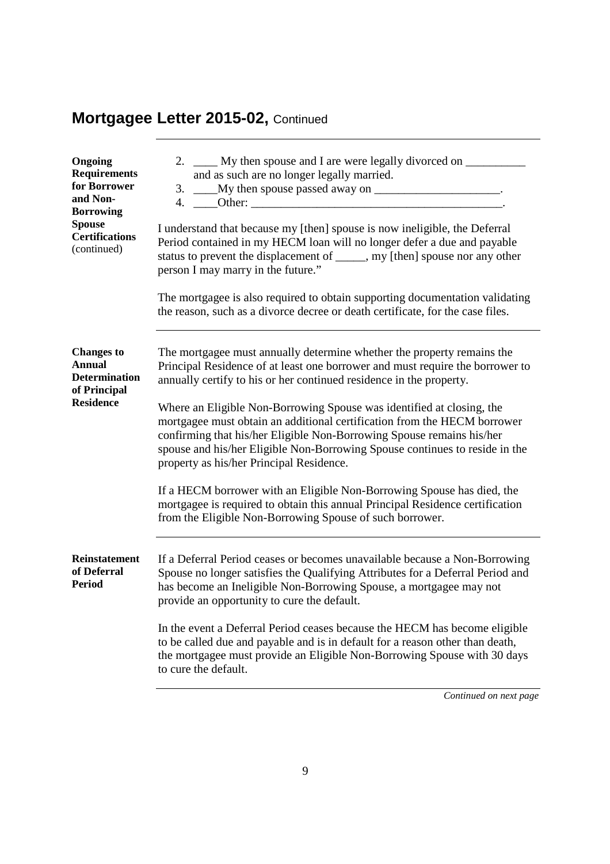| Ongoing<br><b>Requirements</b><br>for Borrower<br>and Non-<br><b>Borrowing</b><br><b>Spouse</b><br><b>Certifications</b><br>(continued) | 2. ____ My then spouse and I are were legally divorced on ________<br>and as such are no longer legally married.<br>3. ____My then spouse passed away on ______________________.<br>I understand that because my [then] spouse is now ineligible, the Deferral<br>Period contained in my HECM loan will no longer defer a due and payable<br>status to prevent the displacement of _____, my [then] spouse nor any other<br>person I may marry in the future."<br>The mortgagee is also required to obtain supporting documentation validating<br>the reason, such as a divorce decree or death certificate, for the case files.                                                                  |
|-----------------------------------------------------------------------------------------------------------------------------------------|---------------------------------------------------------------------------------------------------------------------------------------------------------------------------------------------------------------------------------------------------------------------------------------------------------------------------------------------------------------------------------------------------------------------------------------------------------------------------------------------------------------------------------------------------------------------------------------------------------------------------------------------------------------------------------------------------|
| <b>Changes to</b><br><b>Annual</b><br><b>Determination</b><br>of Principal<br><b>Residence</b>                                          | The mortgagee must annually determine whether the property remains the<br>Principal Residence of at least one borrower and must require the borrower to<br>annually certify to his or her continued residence in the property.<br>Where an Eligible Non-Borrowing Spouse was identified at closing, the<br>mortgagee must obtain an additional certification from the HECM borrower<br>confirming that his/her Eligible Non-Borrowing Spouse remains his/her<br>spouse and his/her Eligible Non-Borrowing Spouse continues to reside in the<br>property as his/her Principal Residence.<br>If a HECM borrower with an Eligible Non-Borrowing Spouse has died, the                                 |
| <b>Reinstatement</b><br>of Deferral<br><b>Period</b>                                                                                    | mortgagee is required to obtain this annual Principal Residence certification<br>from the Eligible Non-Borrowing Spouse of such borrower.<br>If a Deferral Period ceases or becomes unavailable because a Non-Borrowing<br>Spouse no longer satisfies the Qualifying Attributes for a Deferral Period and<br>has become an Ineligible Non-Borrowing Spouse, a mortgagee may not<br>provide an opportunity to cure the default.<br>In the event a Deferral Period ceases because the HECM has become eligible<br>to be called due and payable and is in default for a reason other than death,<br>the mortgagee must provide an Eligible Non-Borrowing Spouse with 30 days<br>to cure the default. |
|                                                                                                                                         |                                                                                                                                                                                                                                                                                                                                                                                                                                                                                                                                                                                                                                                                                                   |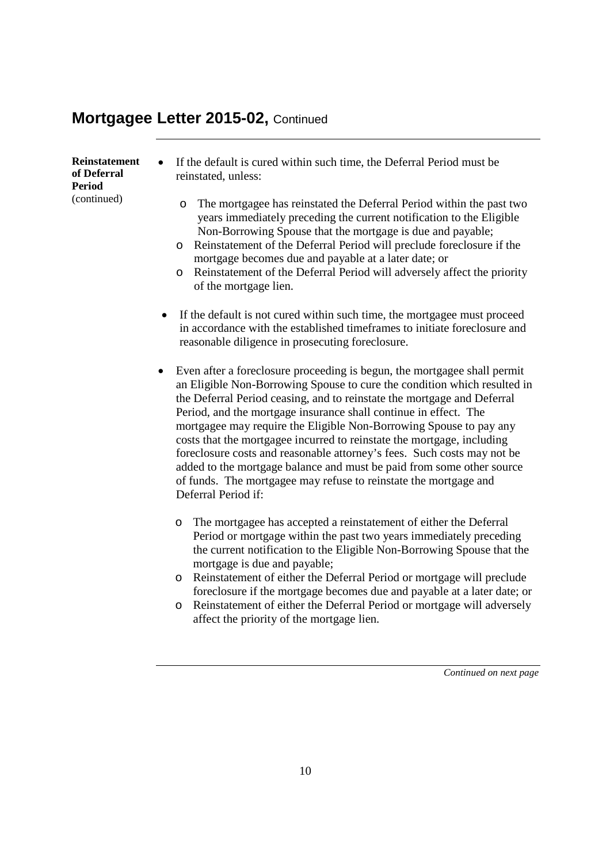| Reinstatement | If the default is cured within such time, the Deferral Period must be                                                                                                                                                                                                                                                                                                                                                                                                      |
|---------------|----------------------------------------------------------------------------------------------------------------------------------------------------------------------------------------------------------------------------------------------------------------------------------------------------------------------------------------------------------------------------------------------------------------------------------------------------------------------------|
| of Deferral   | $\bullet$                                                                                                                                                                                                                                                                                                                                                                                                                                                                  |
| Period        | reinstated, unless:                                                                                                                                                                                                                                                                                                                                                                                                                                                        |
| (continued)   | The mortgagee has reinstated the Deferral Period within the past two<br>O<br>years immediately preceding the current notification to the Eligible<br>Non-Borrowing Spouse that the mortgage is due and payable;<br>Reinstatement of the Deferral Period will preclude foreclosure if the<br>$\circ$<br>mortgage becomes due and payable at a later date; or<br>Reinstatement of the Deferral Period will adversely affect the priority<br>$\circ$<br>of the mortgage lien. |

- If the default is not cured within such time, the mortgagee must proceed in accordance with the established timeframes to initiate foreclosure and reasonable diligence in prosecuting foreclosure.
- Even after a foreclosure proceeding is begun, the mortgagee shall permit an Eligible Non-Borrowing Spouse to cure the condition which resulted in the Deferral Period ceasing, and to reinstate the mortgage and Deferral Period, and the mortgage insurance shall continue in effect. The mortgagee may require the Eligible Non-Borrowing Spouse to pay any costs that the mortgagee incurred to reinstate the mortgage, including foreclosure costs and reasonable attorney's fees. Such costs may not be added to the mortgage balance and must be paid from some other source of funds. The mortgagee may refuse to reinstate the mortgage and Deferral Period if:
	- o The mortgagee has accepted a reinstatement of either the Deferral Period or mortgage within the past two years immediately preceding the current notification to the Eligible Non-Borrowing Spouse that the mortgage is due and payable;
	- o Reinstatement of either the Deferral Period or mortgage will preclude foreclosure if the mortgage becomes due and payable at a later date; or
	- o Reinstatement of either the Deferral Period or mortgage will adversely affect the priority of the mortgage lien.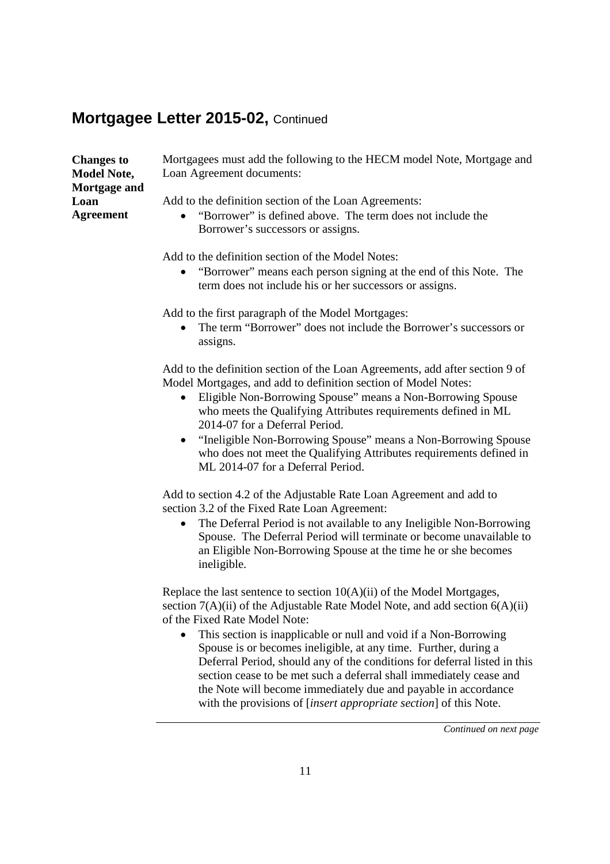| <b>Changes to</b><br><b>Model Note,</b> | Mortgagees must add the following to the HECM model Note, Mortgage and<br>Loan Agreement documents: |
|-----------------------------------------|-----------------------------------------------------------------------------------------------------|
| Mortgage and                            |                                                                                                     |
| Loan                                    | Add to the definition section of the Loan Agreements:                                               |
| <b>Agreement</b>                        | • "Borrower" is defined above. The term does not include the<br>Borrower's successors or assigns.   |
|                                         | Add to the definition section of the Model Notes:                                                   |

 "Borrower" means each person signing at the end of this Note. The term does not include his or her successors or assigns.

Add to the first paragraph of the Model Mortgages:

• The term "Borrower" does not include the Borrower's successors or assigns.

Add to the definition section of the Loan Agreements, add after section 9 of Model Mortgages, and add to definition section of Model Notes:

- Eligible Non-Borrowing Spouse" means a Non-Borrowing Spouse who meets the Qualifying Attributes requirements defined in ML 2014-07 for a Deferral Period.
- "Ineligible Non-Borrowing Spouse" means a Non-Borrowing Spouse who does not meet the Qualifying Attributes requirements defined in ML 2014-07 for a Deferral Period.

Add to section 4.2 of the Adjustable Rate Loan Agreement and add to section 3.2 of the Fixed Rate Loan Agreement:

• The Deferral Period is not available to any Ineligible Non-Borrowing Spouse. The Deferral Period will terminate or become unavailable to an Eligible Non-Borrowing Spouse at the time he or she becomes ineligible.

Replace the last sentence to section  $10(A)(ii)$  of the Model Mortgages, section  $7(A)(ii)$  of the Adjustable Rate Model Note, and add section  $6(A)(ii)$ of the Fixed Rate Model Note:

 This section is inapplicable or null and void if a Non-Borrowing Spouse is or becomes ineligible, at any time. Further, during a Deferral Period, should any of the conditions for deferral listed in this section cease to be met such a deferral shall immediately cease and the Note will become immediately due and payable in accordance with the provisions of [*insert appropriate section*] of this Note.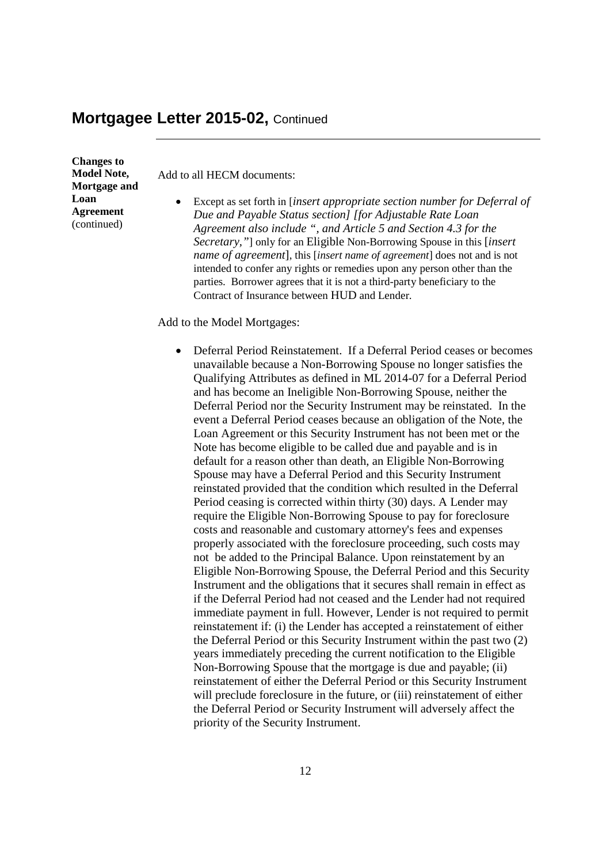**Changes to Model Note, Mortgage and Loan Agreement** (continued)

Add to all HECM documents:

 Except as set forth in [*insert appropriate section number for Deferral of Due and Payable Status section] [for Adjustable Rate Loan Agreement also include ", and Article 5 and Section 4.3 for the Secretary,"*] only for an Eligible Non-Borrowing Spouse in this [*insert name of agreement*], this [*insert name of agreement*] does not and is not intended to confer any rights or remedies upon any person other than the parties. Borrower agrees that it is not a third-party beneficiary to the Contract of Insurance between HUD and Lender.

Add to the Model Mortgages:

 Deferral Period Reinstatement. If a Deferral Period ceases or becomes unavailable because a Non-Borrowing Spouse no longer satisfies the Qualifying Attributes as defined in ML 2014-07 for a Deferral Period and has become an Ineligible Non-Borrowing Spouse, neither the Deferral Period nor the Security Instrument may be reinstated. In the event a Deferral Period ceases because an obligation of the Note, the Loan Agreement or this Security Instrument has not been met or the Note has become eligible to be called due and payable and is in default for a reason other than death, an Eligible Non-Borrowing Spouse may have a Deferral Period and this Security Instrument reinstated provided that the condition which resulted in the Deferral Period ceasing is corrected within thirty (30) days. A Lender may require the Eligible Non-Borrowing Spouse to pay for foreclosure costs and reasonable and customary attorney's fees and expenses properly associated with the foreclosure proceeding, such costs may not be added to the Principal Balance. Upon reinstatement by an Eligible Non-Borrowing Spouse, the Deferral Period and this Security Instrument and the obligations that it secures shall remain in effect as if the Deferral Period had not ceased and the Lender had not required immediate payment in full. However, Lender is not required to permit reinstatement if: (i) the Lender has accepted a reinstatement of either the Deferral Period or this Security Instrument within the past two (2) years immediately preceding the current notification to the Eligible Non-Borrowing Spouse that the mortgage is due and payable; (ii) reinstatement of either the Deferral Period or this Security Instrument will preclude foreclosure in the future, or (iii) reinstatement of either the Deferral Period or Security Instrument will adversely affect the priority of the Security Instrument.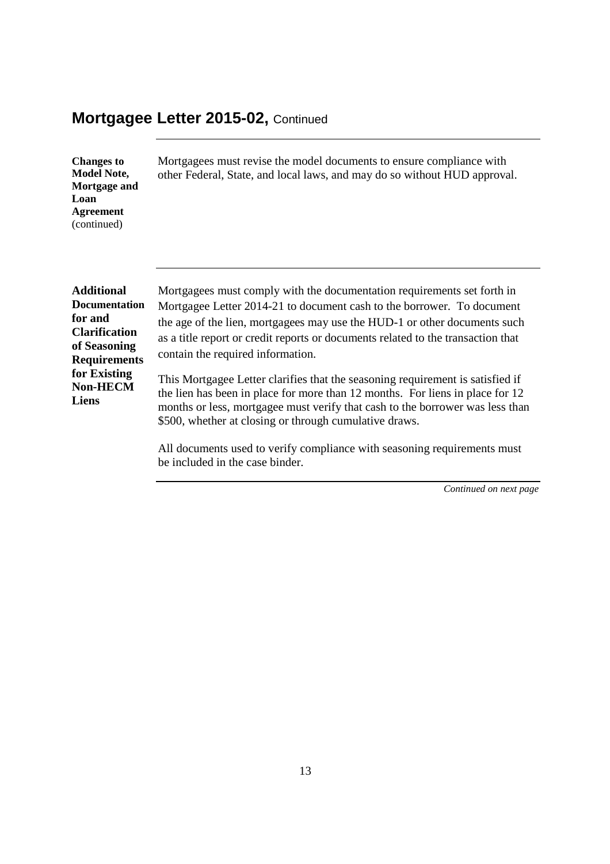| <b>Changes to</b><br><b>Model Note,</b><br>Mortgage and<br>Loan<br><b>Agreement</b><br>(continued) | Mortgagees must revise the model documents to ensure compliance with<br>other Federal, State, and local laws, and may do so without HUD approval. |
|----------------------------------------------------------------------------------------------------|---------------------------------------------------------------------------------------------------------------------------------------------------|
| <b>Additional</b>                                                                                  | Mortgagees must comply with the documentation requirements set forth in                                                                           |
| <b>Documentation</b>                                                                               | Mortgagee Letter 2014-21 to document cash to the borrower. To document                                                                            |
| for and                                                                                            | the age of the lien, mortgagees may use the HUD-1 or other documents such                                                                         |
| <b>Clarification</b>                                                                               | as a title report or credit reports or documents related to the transaction that                                                                  |
| of Seasoning                                                                                       | contain the required information.                                                                                                                 |
| <b>Requirements</b>                                                                                | This Mortgagee Letter clarifies that the seasoning requirement is satisfied if                                                                    |
| for Existing                                                                                       | the lien has been in place for more than 12 months. For liens in place for 12                                                                     |
| <b>Non-HECM</b>                                                                                    | months or less, mortgagee must verify that cash to the borrower was less than                                                                     |
| <b>Liens</b>                                                                                       | \$500, whether at closing or through cumulative draws.                                                                                            |

All documents used to verify compliance with seasoning requirements must be included in the case binder.